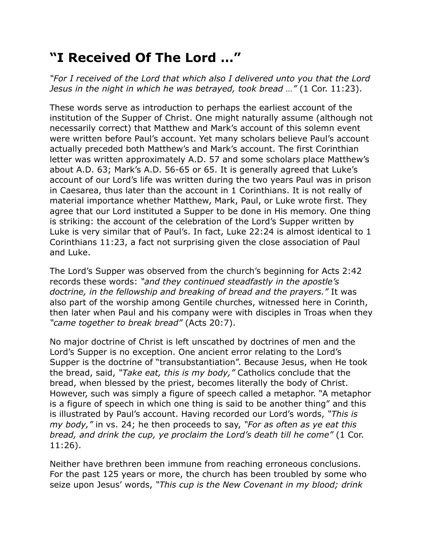## **"I Received Of The Lord …"**

*"For I received of the Lord that which also I delivered unto you that the Lord Jesus in the night in which he was betrayed, took bread …"* (1 Cor. 11:23).

These words serve as introduction to perhaps the earliest account of the institution of the Supper of Christ. One might naturally assume (although not necessarily correct) that Matthew and Mark's account of this solemn event were written before Paul's account. Yet many scholars believe Paul's account actually preceded both Matthew's and Mark's account. The first Corinthian letter was written approximately A.D. 57 and some scholars place Matthew's about A.D. 63; Mark's A.D. 56-65 or 65. It is generally agreed that Luke's account of our Lord's life was written during the two years Paul was in prison in Caesarea, thus later than the account in 1 Corinthians. It is not really of material importance whether Matthew, Mark, Paul, or Luke wrote first. They agree that our Lord instituted a Supper to be done in His memory. One thing is striking: the account of the celebration of the Lord's Supper written by Luke is very similar that of Paul's. In fact, Luke 22:24 is almost identical to 1 Corinthians 11:23, a fact not surprising given the close association of Paul and Luke.

The Lord's Supper was observed from the church's beginning for Acts 2:42 records these words: *"and they continued steadfastly in the apostle's doctrine, in the fellowship and breaking of bread and the prayers."* It was also part of the worship among Gentile churches, witnessed here in Corinth, then later when Paul and his company were with disciples in Troas when they *"came together to break bread"* (Acts 20:7).

No major doctrine of Christ is left unscathed by doctrines of men and the Lord's Supper is no exception. One ancient error relating to the Lord's Supper is the doctrine of "transubstantiation". Because Jesus, when He took the bread, said, *"Take eat, this is my body,"* Catholics conclude that the bread, when blessed by the priest, becomes literally the body of Christ. However, such was simply a figure of speech called a metaphor. "A metaphor is a figure of speech in which one thing is said to be another thing" and this is illustrated by Paul's account. Having recorded our Lord's words, *"This is my body,"* in vs. 24; he then proceeds to say, *"For as often as ye eat this bread, and drink the cup, ye proclaim the Lord's death till he come"* (1 Cor. 11:26).

Neither have brethren been immune from reaching erroneous conclusions. For the past 125 years or more, the church has been troubled by some who seize upon Jesus' words, *"This cup is the New Covenant in my blood; drink*